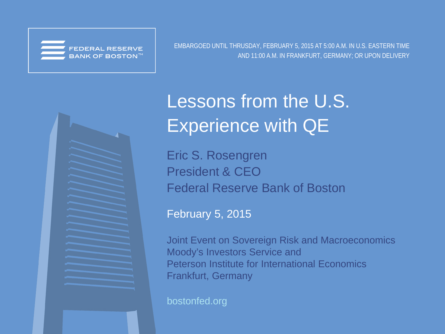**BANK OF BOSTONT** 

EMBARGOED UNTIL THRUSDAY, FEBRUARY 5, 2015 AT 5:00 A.M. IN U.S. EASTERN TIME AND 11:00 A.M. IN FRANKFURT, GERMANY; OR UPON DELIVERY



# Lessons from the U.S. Experience with QE

Eric S. Rosengren President & CEO Federal Reserve Bank of Boston

February 5, 2015

Joint Event on Sovereign Risk and Macroeconomics Moody's Investors Service and Peterson Institute for International Economics Frankfurt, Germany

bostonfed.org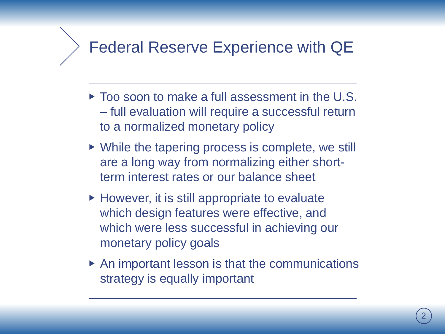### Federal Reserve Experience with QE

- ▶ Too soon to make a full assessment in the U.S. – full evaluation will require a successful return to a normalized monetary policy
- ▶ While the tapering process is complete, we still are a long way from normalizing either shortterm interest rates or our balance sheet
- ▶ However, it is still appropriate to evaluate which design features were effective, and which were less successful in achieving our monetary policy goals
- ▶ An important lesson is that the communications strategy is equally important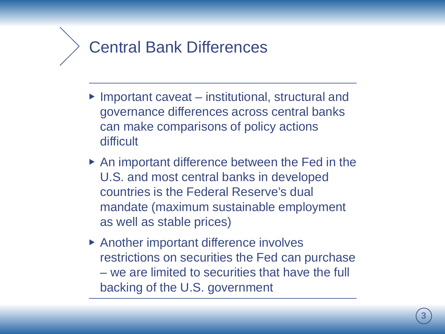### Central Bank Differences

- ▶ Important caveat institutional, structural and governance differences across central banks can make comparisons of policy actions difficult
- ▶ An important difference between the Fed in the U.S. and most central banks in developed countries is the Federal Reserve's dual mandate (maximum sustainable employment as well as stable prices)
- ▶ Another important difference involves restrictions on securities the Fed can purchase – we are limited to securities that have the full backing of the U.S. government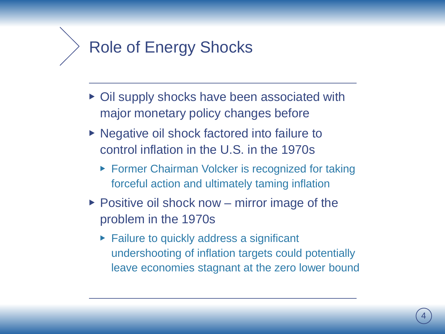### Role of Energy Shocks

- ▶ Oil supply shocks have been associated with major monetary policy changes before
- ▶ Negative oil shock factored into failure to control inflation in the U.S. in the 1970s
	- ▶ Former Chairman Volcker is recognized for taking forceful action and ultimately taming inflation
- $\triangleright$  Positive oil shock now mirror image of the problem in the 1970s
	- ▶ Failure to quickly address a significant undershooting of inflation targets could potentially leave economies stagnant at the zero lower bound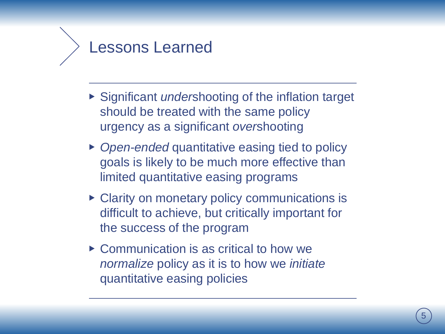### Lessons Learned

- ▶ Significant *under*shooting of the inflation target should be treated with the same policy urgency as a significant *over*shooting
- ▶ *Open-ended* quantitative easing tied to policy goals is likely to be much more effective than limited quantitative easing programs
- ▶ Clarity on monetary policy communications is difficult to achieve, but critically important for the success of the program
- ▶ Communication is as critical to how we *normalize* policy as it is to how we *initiate* quantitative easing policies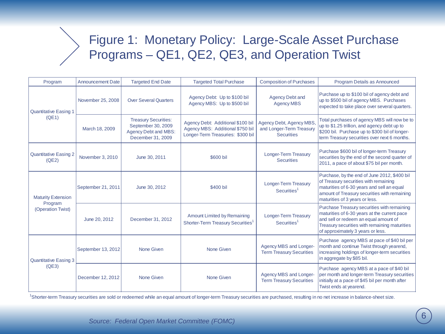### Figure 1: Monetary Policy: Large-Scale Asset Purchase Programs – QE1, QE2, QE3, and Operation Twist

| Program                                                   | <b>Announcement Date</b> | <b>Targeted End Date</b>                                                                       | <b>Targeted Total Purchase</b>                                                                             | <b>Composition of Purchases</b>                                          | Program Details as Announced                                                                                                                                                                                               |
|-----------------------------------------------------------|--------------------------|------------------------------------------------------------------------------------------------|------------------------------------------------------------------------------------------------------------|--------------------------------------------------------------------------|----------------------------------------------------------------------------------------------------------------------------------------------------------------------------------------------------------------------------|
| <b>Quantitative Easing 1</b><br>(QE1)                     | November 25, 2008        | <b>Over Several Quarters</b>                                                                   | Agency Debt: Up to \$100 bil<br>Agency MBS: Up to \$500 bil                                                | <b>Agency Debt and</b><br><b>Agency MBS</b>                              | Purchase up to \$100 bil of agency debt and<br>up to \$500 bil of agency MBS. Purchases<br>expected to take place over several quarters.                                                                                   |
|                                                           | March 18, 2009           | <b>Treasury Securities:</b><br>September 30, 2009<br>Agency Debt and MBS:<br>December 31, 2009 | Agency Debt: Additional \$100 bil<br>Agency MBS: Additional \$750 bil<br>Longer-Term Treasuries: \$300 bil | Agency Debt, Agency MBS<br>and Longer-Term Treasury<br><b>Securities</b> | Total purchases of agency MBS will now be to<br>up to \$1.25 trillion, and agency debt up to<br>\$200 bil. Purchase up to \$300 bil of longer-<br>term Treasury securities over next 6 months.                             |
| <b>Quantitative Easing 2</b><br>(QE2)                     | November 3, 2010         | June 30, 2011                                                                                  | \$600 bil                                                                                                  | <b>Longer-Term Treasury</b><br><b>Securities</b>                         | Purchase \$600 bil of longer-term Treasury<br>securities by the end of the second quarter of<br>2011, a pace of about \$75 bil per month.                                                                                  |
| <b>Maturity Extension</b><br>Program<br>(Operation Twist) | September 21, 2011       | June 30, 2012                                                                                  | \$400 bil                                                                                                  | <b>Longer-Term Treasury</b><br>Securities <sup>1</sup>                   | Purchase, by the end of June 2012, \$400 bil<br>of Treasury securities with remaining<br>maturities of 6-30 years and sell an equal<br>amount of Treasury securities with remaining<br>maturities of 3 years or less.      |
|                                                           | June 20, 2012            | December 31, 2012                                                                              | <b>Amount Limited by Remaining</b><br>Shorter-Term Treasury Securities <sup>1</sup>                        | Longer-Term Treasury<br>Securities <sup>1</sup>                          | Purchase Treasury securities with remaining<br>maturities of 6-30 years at the current pace<br>and sell or redeem an equal amount of<br>Treasury securities with remaining maturities<br>of approximately 3 years or less. |
| <b>Quantitative Easing 3</b><br>(QE3)                     | September 13, 2012       | None Given                                                                                     | None Given                                                                                                 | Agency MBS and Longer-<br><b>Term Treasury Securities</b>                | Purchase agency MBS at pace of \$40 bil per<br>month and continue Twist through yearend,<br>increasing holdings of longer-term securities<br>in aggregate by \$85 bil.                                                     |
|                                                           | December 12, 2012        | None Given                                                                                     | None Given                                                                                                 | Agency MBS and Longer-<br><b>Term Treasury Securities</b>                | Purchase agency MBS at a pace of \$40 bil<br>per month and longer-term Treasury securities<br>initially at a pace of \$45 bil per month after<br>Twist ends at yearend.                                                    |

<sup>1</sup>Shorter-term Treasury securities are sold or redeemed while an equal amount of longer-term Treasury securities are purchased, resulting in no net increase in balance-sheet size.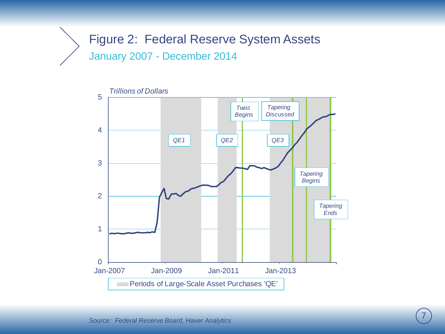### Figure 2: Federal Reserve System Assets January 2007 - December 2014

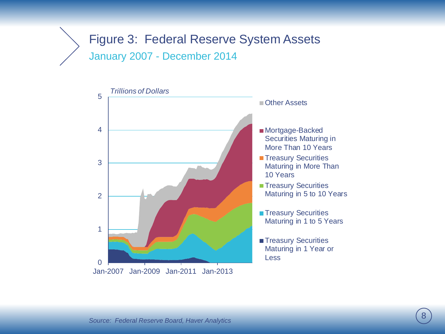#### Figure 3: Federal Reserve System Assets January 2007 - December 2014

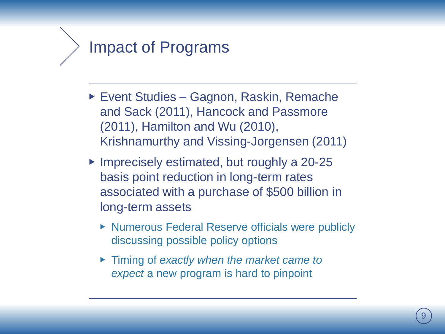### Impact of Programs

- ▶ Event Studies Gagnon, Raskin, Remache and Sack (2011), Hancock and Passmore (2011), Hamilton and Wu (2010), Krishnamurthy and Vissing-Jorgensen (2011)
- ▶ Imprecisely estimated, but roughly a 20-25 basis point reduction in long-term rates associated with a purchase of \$500 billion in long-term assets
	- ▶ Numerous Federal Reserve officials were publicly discussing possible policy options
	- ▶ Timing of *exactly when the market came to expect* a new program is hard to pinpoint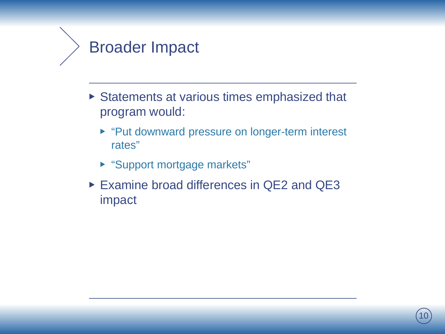## Broader Impact

- ▶ Statements at various times emphasized that program would:
	- ▶ "Put downward pressure on longer-term interest rates"
	- ▶ "Support mortgage markets"
- ▶ Examine broad differences in QE2 and QE3 impact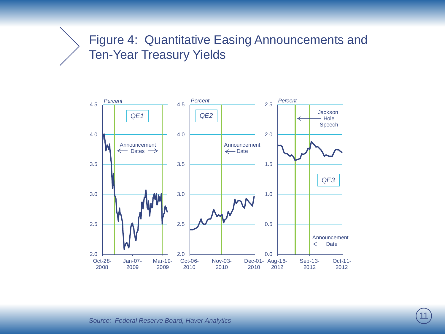#### Figure 4: Quantitative Easing Announcements and Ten-Year Treasury Yields

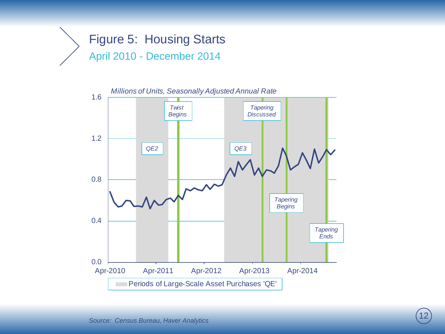

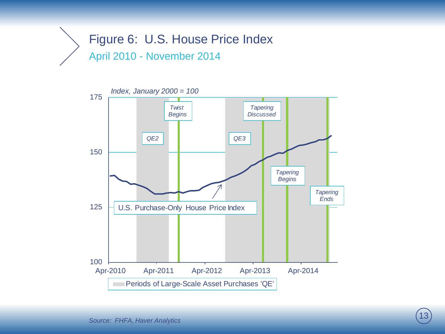Figure 6: U.S. House Price Index April 2010 - November 2014



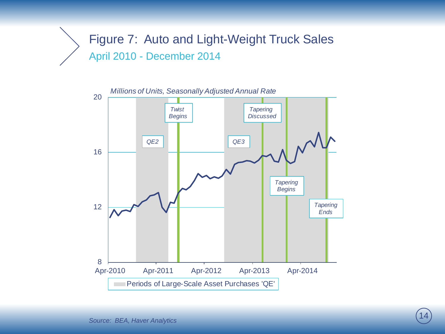#### Figure 7: Auto and Light-Weight Truck Sales April 2010 - December 2014

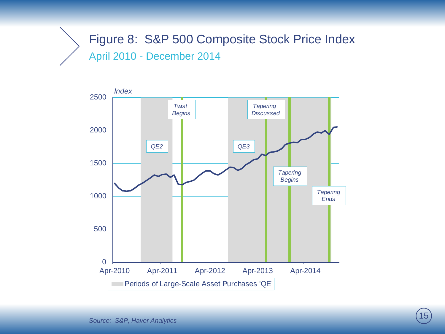### Figure 8: S&P 500 Composite Stock Price Index April 2010 - December 2014

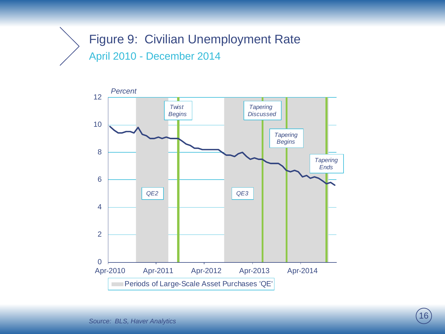### Figure 9: Civilian Unemployment Rate April 2010 - December 2014

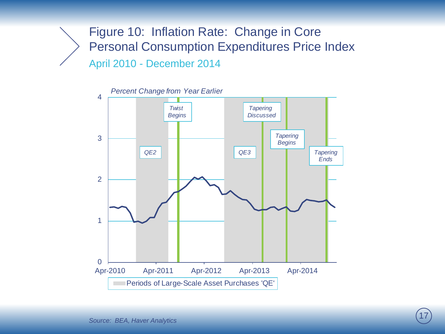Figure 10: Inflation Rate: Change in Core Personal Consumption Expenditures Price Index April 2010 - December 2014

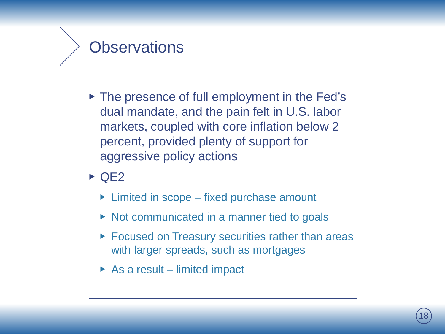

- ▶ The presence of full employment in the Fed's dual mandate, and the pain felt in U.S. labor markets, coupled with core inflation below 2 percent, provided plenty of support for aggressive policy actions
- $\triangleright$  QE2
	- $\triangleright$  Limited in scope fixed purchase amount
	- ▶ Not communicated in a manner tied to goals
	- ▶ Focused on Treasury securities rather than areas with larger spreads, such as mortgages
	- $\triangleright$  As a result limited impact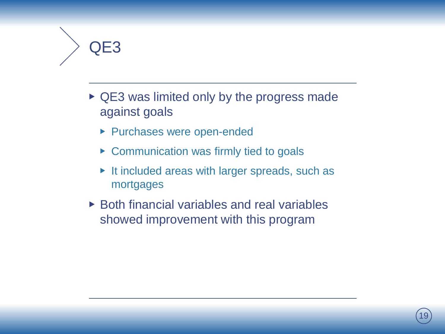

- ▶ QE3 was limited only by the progress made against goals
	- ▶ Purchases were open-ended
	- ▶ Communication was firmly tied to goals
	- ▶ It included areas with larger spreads, such as mortgages
- ▶ Both financial variables and real variables showed improvement with this program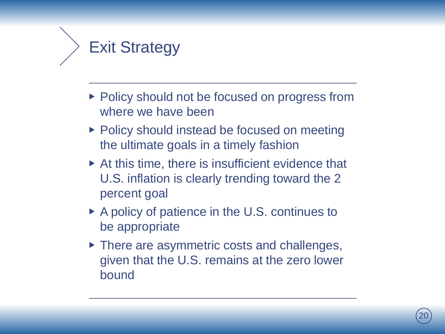

- ▶ Policy should not be focused on progress from where we have been
- ▶ Policy should instead be focused on meeting the ultimate goals in a timely fashion
- ▶ At this time, there is insufficient evidence that U.S. inflation is clearly trending toward the 2 percent goal
- ▶ A policy of patience in the U.S. continues to be appropriate
- ▶ There are asymmetric costs and challenges, given that the U.S. remains at the zero lower bound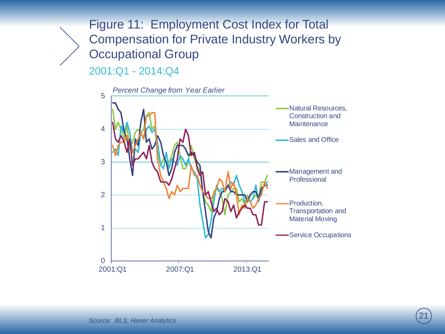Figure 11: Employment Cost Index for Total Compensation for Private Industry Workers by Occupational Group

2001:Q1 - 2014:Q4